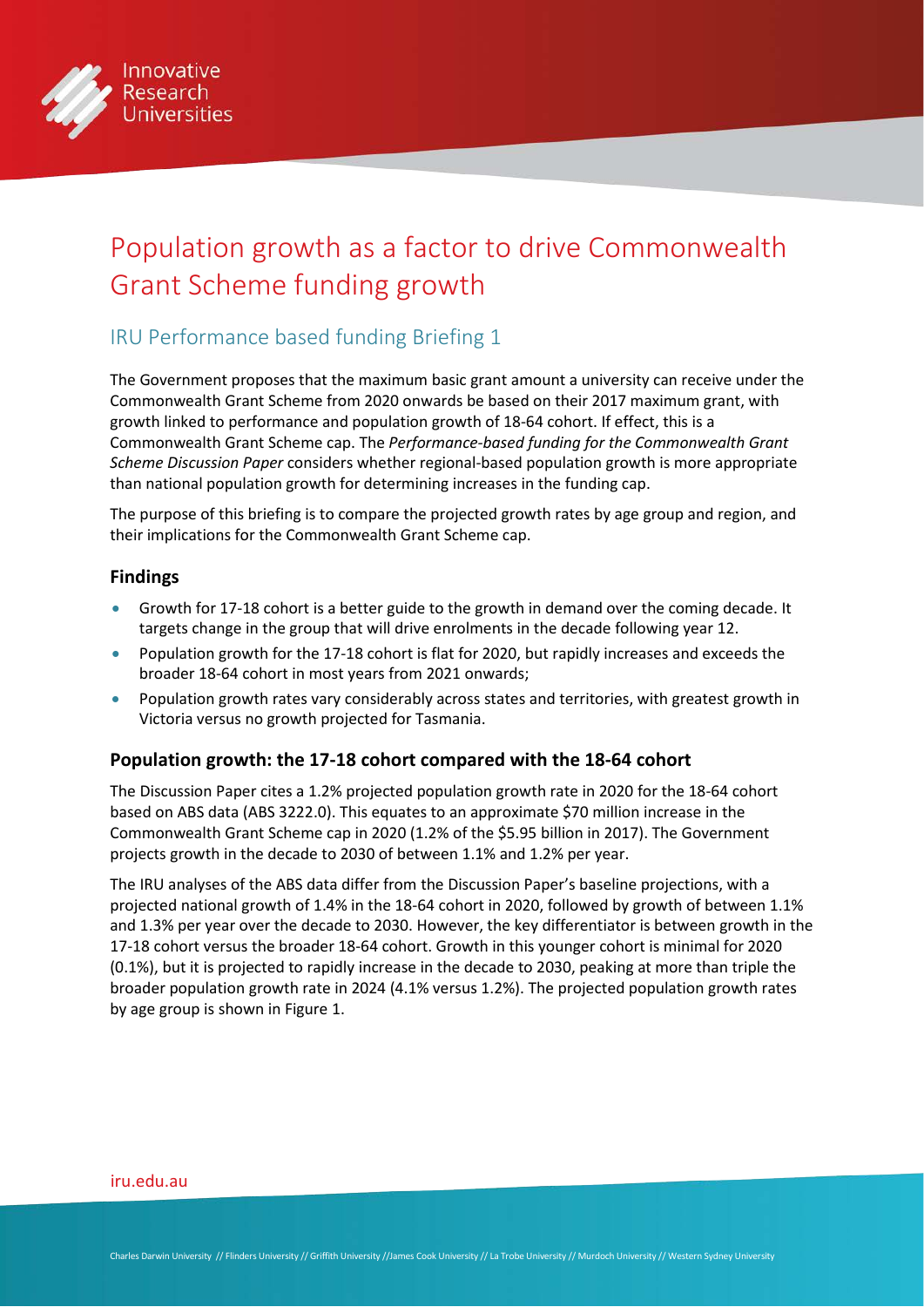

# Population growth as a factor to drive Commonwealth Grant Scheme funding growth

## IRU Performance based funding Briefing 1

The Government proposes that the maximum basic grant amount a university can receive under the Commonwealth Grant Scheme from 2020 onwards be based on their 2017 maximum grant, with growth linked to performance and population growth of 18-64 cohort. If effect, this is a Commonwealth Grant Scheme cap. The *Performance-based funding for the Commonwealth Grant Scheme Discussion Paper* considers whether regional-based population growth is more appropriate than national population growth for determining increases in the funding cap.

The purpose of this briefing is to compare the projected growth rates by age group and region, and their implications for the Commonwealth Grant Scheme cap.

### **Findings**

- Growth for 17-18 cohort is a better guide to the growth in demand over the coming decade. It targets change in the group that will drive enrolments in the decade following year 12.
- Population growth for the 17-18 cohort is flat for 2020, but rapidly increases and exceeds the broader 18-64 cohort in most years from 2021 onwards;
- Population growth rates vary considerably across states and territories, with greatest growth in Victoria versus no growth projected for Tasmania.

## **Population growth: the 17-18 cohort compared with the 18-64 cohort**

The Discussion Paper cites a 1.2% projected population growth rate in 2020 for the 18-64 cohort based on ABS data (ABS 3222.0). This equates to an approximate \$70 million increase in the Commonwealth Grant Scheme cap in 2020 (1.2% of the \$5.95 billion in 2017). The Government projects growth in the decade to 2030 of between 1.1% and 1.2% per year.

The IRU analyses of the ABS data differ from the Discussion Paper's baseline projections, with a projected national growth of 1.4% in the 18-64 cohort in 2020, followed by growth of between 1.1% and 1.3% per year over the decade to 2030. However, the key differentiator is between growth in the 17-18 cohort versus the broader 18-64 cohort. Growth in this younger cohort is minimal for 2020 (0.1%), but it is projected to rapidly increase in the decade to 2030, peaking at more than triple the broader population growth rate in 2024 (4.1% versus 1.2%). The projected population growth rates by age group is shown in Figure 1.

#### [iru.edu.au](http://iru.edu.au)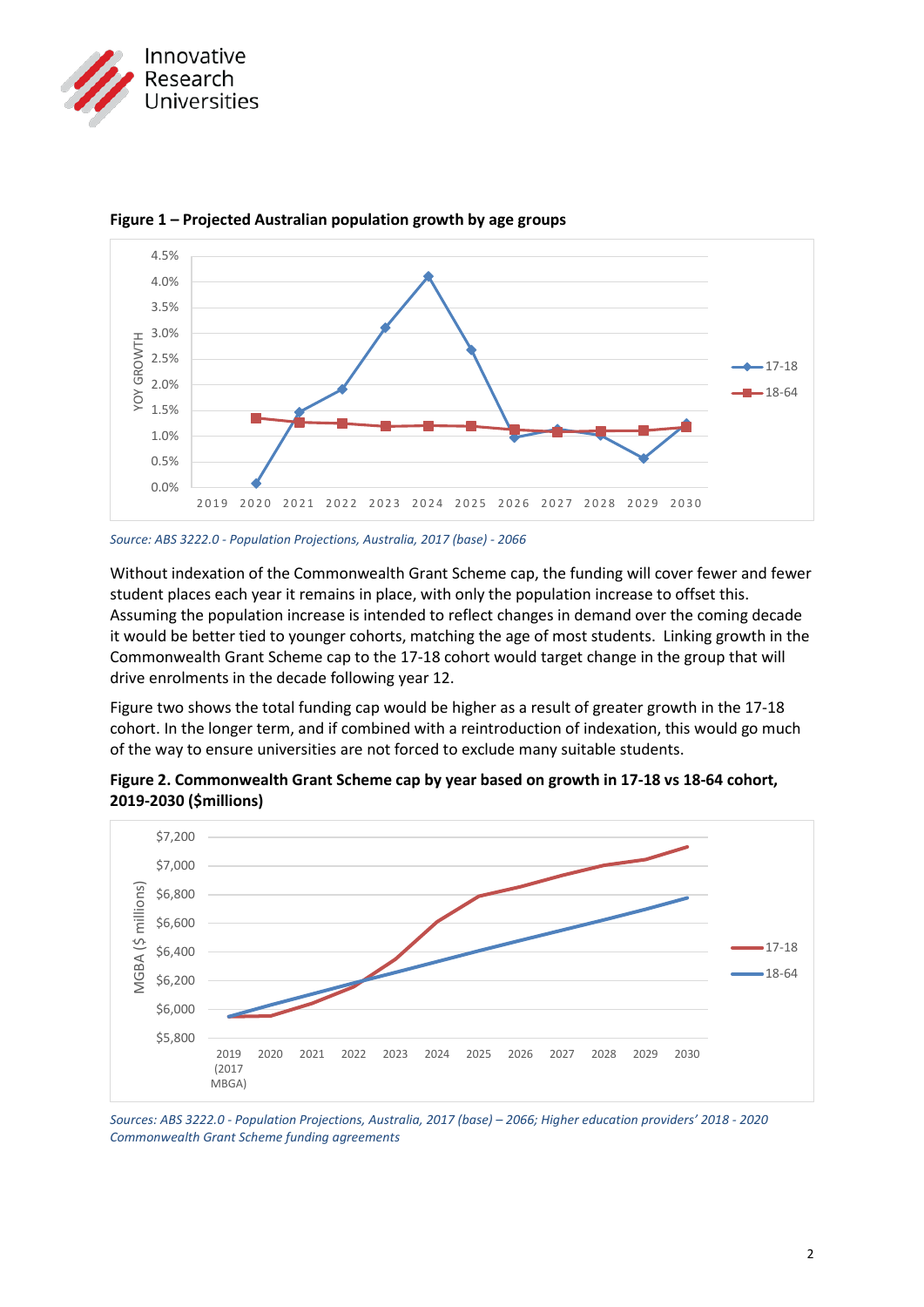



**Figure 1 – Projected Australian population growth by age groups**

Without indexation of the Commonwealth Grant Scheme cap, the funding will cover fewer and fewer student places each year it remains in place, with only the population increase to offset this. Assuming the population increase is intended to reflect changes in demand over the coming decade it would be better tied to younger cohorts, matching the age of most students. Linking growth in the Commonwealth Grant Scheme cap to the 17-18 cohort would target change in the group that will drive enrolments in the decade following year 12.

Figure two shows the total funding cap would be higher as a result of greater growth in the 17-18 cohort. In the longer term, and if combined with a reintroduction of indexation, this would go much of the way to ensure universities are not forced to exclude many suitable students.



**Figure 2. Commonwealth Grant Scheme cap by year based on growth in 17-18 vs 18-64 cohort, 2019-2030 (\$millions)**

*Sources: ABS 3222.0 - Population Projections, Australia, 2017 (base) – 2066; Higher education providers' 2018 - 2020 Commonwealth Grant Scheme funding agreements*

*Source: ABS 3222.0 - Population Projections, Australia, 2017 (base) - 2066*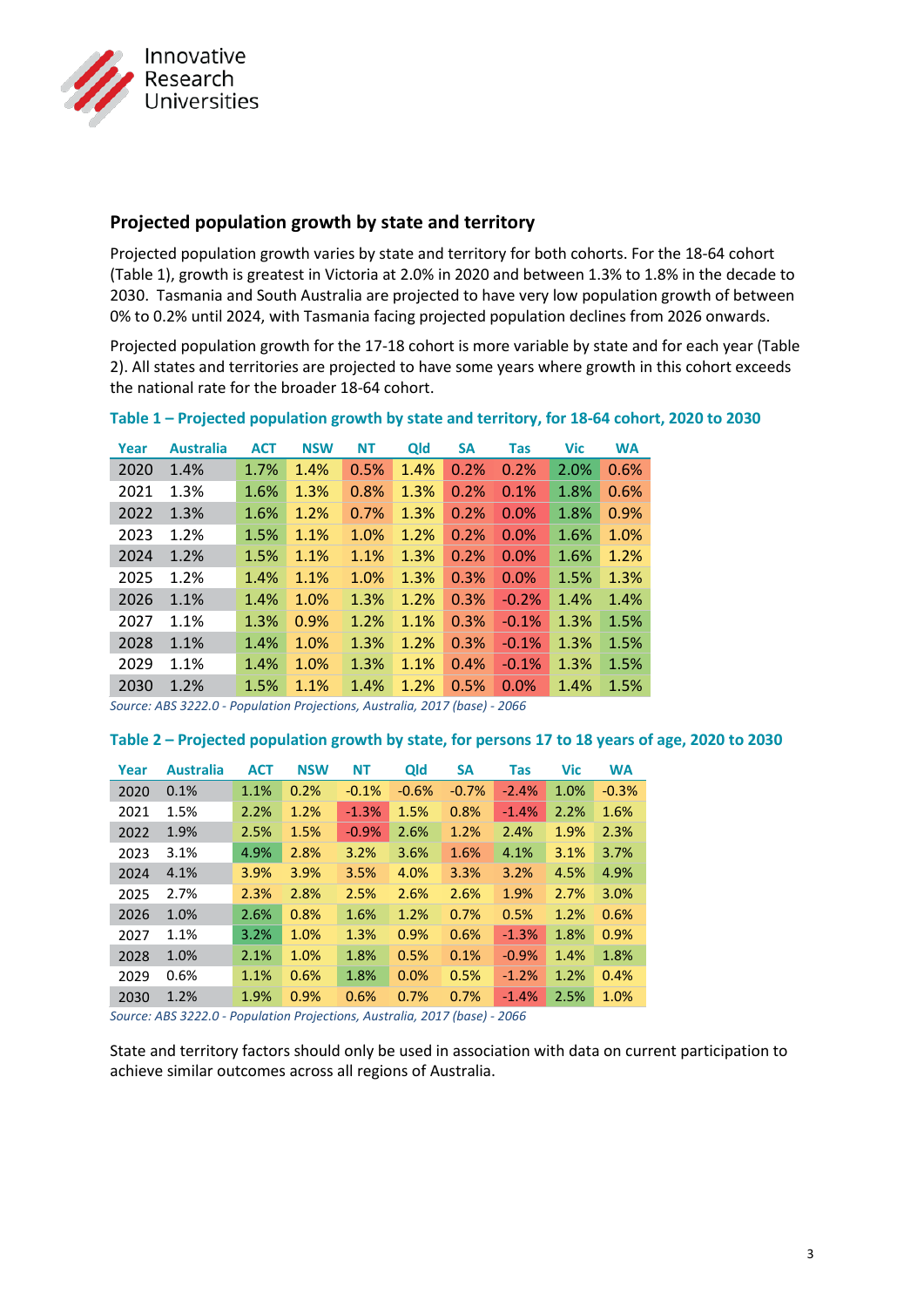

## **Projected population growth by state and territory**

Projected population growth varies by state and territory for both cohorts. For the 18-64 cohort (Table 1), growth is greatest in Victoria at 2.0% in 2020 and between 1.3% to 1.8% in the decade to 2030. Tasmania and South Australia are projected to have very low population growth of between 0% to 0.2% until 2024, with Tasmania facing projected population declines from 2026 onwards.

Projected population growth for the 17-18 cohort is more variable by state and for each year (Table 2). All states and territories are projected to have some years where growth in this cohort exceeds the national rate for the broader 18-64 cohort.

| Year | <b>Australia</b> | <b>ACT</b> | <b>NSW</b> | <b>NT</b> | Qld  | <b>SA</b> | <b>Tas</b> | <b>Vic</b> | <b>WA</b> |
|------|------------------|------------|------------|-----------|------|-----------|------------|------------|-----------|
| 2020 | 1.4%             | 1.7%       | 1.4%       | 0.5%      | 1.4% | 0.2%      | 0.2%       | 2.0%       | 0.6%      |
| 2021 | 1.3%             | 1.6%       | 1.3%       | 0.8%      | 1.3% | 0.2%      | 0.1%       | 1.8%       | 0.6%      |
| 2022 | 1.3%             | 1.6%       | 1.2%       | 0.7%      | 1.3% | 0.2%      | 0.0%       | 1.8%       | 0.9%      |
| 2023 | 1.2%             | 1.5%       | 1.1%       | 1.0%      | 1.2% | 0.2%      | 0.0%       | 1.6%       | 1.0%      |
| 2024 | 1.2%             | 1.5%       | 1.1%       | 1.1%      | 1.3% | 0.2%      | 0.0%       | 1.6%       | 1.2%      |
| 2025 | 1.2%             | 1.4%       | 1.1%       | 1.0%      | 1.3% | 0.3%      | 0.0%       | 1.5%       | 1.3%      |
| 2026 | 1.1%             | 1.4%       | 1.0%       | 1.3%      | 1.2% | 0.3%      | $-0.2%$    | 1.4%       | 1.4%      |
| 2027 | 1.1%             | 1.3%       | 0.9%       | 1.2%      | 1.1% | 0.3%      | $-0.1%$    | 1.3%       | 1.5%      |
| 2028 | 1.1%             | 1.4%       | 1.0%       | 1.3%      | 1.2% | 0.3%      | $-0.1%$    | 1.3%       | 1.5%      |
| 2029 | 1.1%             | 1.4%       | 1.0%       | 1.3%      | 1.1% | 0.4%      | $-0.1%$    | 1.3%       | 1.5%      |
| 2030 | 1.2%             | 1.5%       | 1.1%       | 1.4%      | 1.2% | 0.5%      | 0.0%       | 1.4%       | 1.5%      |

#### **Table 1 – Projected population growth by state and territory, for 18-64 cohort, 2020 to 2030**

*Source: ABS 3222.0 - Population Projections, Australia, 2017 (base) - 2066*

#### **Table 2 – Projected population growth by state, for persons 17 to 18 years of age, 2020 to 2030**

| Year | <b>Australia</b> | <b>ACT</b> | <b>NSW</b> | <b>NT</b> | Qld     | <b>SA</b> | <b>Tas</b> | <b>Vic</b> | <b>WA</b> |
|------|------------------|------------|------------|-----------|---------|-----------|------------|------------|-----------|
| 2020 | 0.1%             | 1.1%       | 0.2%       | $-0.1%$   | $-0.6%$ | $-0.7%$   | $-2.4%$    | 1.0%       | $-0.3%$   |
| 2021 | 1.5%             | 2.2%       | 1.2%       | $-1.3%$   | 1.5%    | 0.8%      | $-1.4%$    | 2.2%       | 1.6%      |
| 2022 | 1.9%             | 2.5%       | 1.5%       | $-0.9%$   | 2.6%    | 1.2%      | 2.4%       | 1.9%       | 2.3%      |
| 2023 | 3.1%             | 4.9%       | 2.8%       | 3.2%      | 3.6%    | 1.6%      | 4.1%       | 3.1%       | 3.7%      |
| 2024 | 4.1%             | 3.9%       | 3.9%       | 3.5%      | 4.0%    | 3.3%      | 3.2%       | 4.5%       | 4.9%      |
| 2025 | 2.7%             | 2.3%       | 2.8%       | 2.5%      | 2.6%    | 2.6%      | 1.9%       | 2.7%       | 3.0%      |
| 2026 | 1.0%             | 2.6%       | 0.8%       | 1.6%      | 1.2%    | 0.7%      | 0.5%       | 1.2%       | 0.6%      |
| 2027 | 1.1%             | 3.2%       | 1.0%       | 1.3%      | 0.9%    | 0.6%      | $-1.3%$    | 1.8%       | 0.9%      |
| 2028 | 1.0%             | 2.1%       | 1.0%       | 1.8%      | 0.5%    | 0.1%      | $-0.9%$    | 1.4%       | 1.8%      |
| 2029 | 0.6%             | 1.1%       | 0.6%       | 1.8%      | 0.0%    | 0.5%      | $-1.2%$    | 1.2%       | 0.4%      |
| 2030 | 1.2%             | 1.9%       | 0.9%       | 0.6%      | 0.7%    | 0.7%      | $-1.4%$    | 2.5%       | 1.0%      |

*Source: ABS 3222.0 - Population Projections, Australia, 2017 (base) - 2066*

State and territory factors should only be used in association with data on current participation to achieve similar outcomes across all regions of Australia.